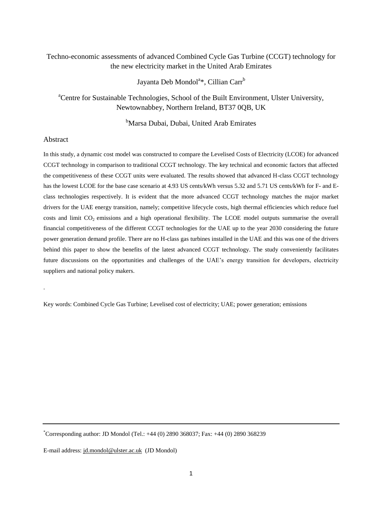# Techno-economic assessments of advanced Combined Cycle Gas Turbine (CCGT) technology for the new electricity market in the United Arab Emirates

Jayanta Deb Mondol<sup>a</sup>\*, Cillian Carr<sup>b</sup>

<sup>a</sup>Centre for Sustainable Technologies, School of the Built Environment, Ulster University, Newtownabbey, Northern Ireland, BT37 0QB, UK

<sup>b</sup>Marsa Dubai, Dubai, United Arab Emirates

# Abstract

.

In this study, a dynamic cost model was constructed to compare the Levelised Costs of Electricity (LCOE) for advanced CCGT technology in comparison to traditional CCGT technology. The key technical and economic factors that affected the competitiveness of these CCGT units were evaluated. The results showed that advanced H-class CCGT technology has the lowest LCOE for the base case scenario at 4.93 US cents/kWh versus 5.32 and 5.71 US cents/kWh for F- and Eclass technologies respectively. It is evident that the more advanced CCGT technology matches the major market drivers for the UAE energy transition, namely; competitive lifecycle costs, high thermal efficiencies which reduce fuel costs and limit  $CO<sub>2</sub>$  emissions and a high operational flexibility. The LCOE model outputs summarise the overall financial competitiveness of the different CCGT technologies for the UAE up to the year 2030 considering the future power generation demand profile. There are no H-class gas turbines installed in the UAE and this was one of the drivers behind this paper to show the benefits of the latest advanced CCGT technology. The study conveniently facilitates future discussions on the opportunities and challenges of the UAE"s energy transition for developers, electricity suppliers and national policy makers.

Key words: Combined Cycle Gas Turbine; Levelised cost of electricity; UAE; power generation; emissions

\*Corresponding author: JD Mondol (Tel.: +44 (0) 2890 368037; Fax: +44 (0) 2890 368239

E-mail address: [jd.mondol@ulster.ac.uk](mailto:jd.mondol@ulster.ac.uk) (JD Mondol)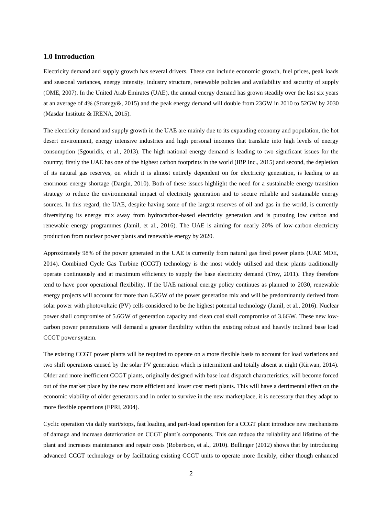# **1.0 Introduction**

Electricity demand and supply growth has several drivers. These can include economic growth, fuel prices, peak loads and seasonal variances, energy intensity, industry structure, renewable policies and availability and security of supply (OME, 2007). In the United Arab Emirates (UAE), the annual energy demand has grown steadily over the last six years at an average of 4% (Strategy&, 2015) and the peak energy demand will double from 23GW in 2010 to 52GW by 2030 (Masdar Institute & IRENA, 2015).

The electricity demand and supply growth in the UAE are mainly due to its expanding economy and population, the hot desert environment, energy intensive industries and high personal incomes that translate into high levels of energy consumption (Sgouridis, et al., 2013). The high national energy demand is leading to two significant issues for the country; firstly the UAE has one of the highest carbon footprints in the world (IBP Inc., 2015) and second, the depletion of its natural gas reserves, on which it is almost entirely dependent on for electricity generation, is leading to an enormous energy shortage (Dargin, 2010). Both of these issues highlight the need for a sustainable energy transition strategy to reduce the environmental impact of electricity generation and to secure reliable and sustainable energy sources. In this regard, the UAE, despite having some of the largest reserves of oil and gas in the world, is currently diversifying its energy mix away from hydrocarbon-based electricity generation and is pursuing low carbon and renewable energy programmes (Jamil, et al., 2016). The UAE is aiming for nearly 20% of low-carbon electricity production from nuclear power plants and renewable energy by 2020.

Approximately 98% of the power generated in the UAE is currently from natural gas fired power plants (UAE MOE, 2014). Combined Cycle Gas Turbine (CCGT) technology is the most widely utilised and these plants traditionally operate continuously and at maximum efficiency to supply the base electricity demand (Troy, 2011). They therefore tend to have poor operational flexibility. If the UAE national energy policy continues as planned to 2030, renewable energy projects will account for more than 6.5GW of the power generation mix and will be predominantly derived from solar power with photovoltaic (PV) cells considered to be the highest potential technology (Jamil, et al., 2016). Nuclear power shall compromise of 5.6GW of generation capacity and clean coal shall compromise of 3.6GW. These new lowcarbon power penetrations will demand a greater flexibility within the existing robust and heavily inclined base load CCGT power system.

The existing CCGT power plants will be required to operate on a more flexible basis to account for load variations and two shift operations caused by the solar PV generation which is intermittent and totally absent at night (Kirwan, 2014). Older and more inefficient CCGT plants, originally designed with base load dispatch characteristics, will become forced out of the market place by the new more efficient and lower cost merit plants. This will have a detrimental effect on the economic viability of older generators and in order to survive in the new marketplace, it is necessary that they adapt to more flexible operations (EPRI, 2004).

Cyclic operation via daily start/stops, fast loading and part-load operation for a CCGT plant introduce new mechanisms of damage and increase deterioration on CCGT plant"s components. This can reduce the reliability and lifetime of the plant and increases maintenance and repair costs (Robertson, et al., 2010). Bullinger (2012) shows that by introducing advanced CCGT technology or by facilitating existing CCGT units to operate more flexibly, either though enhanced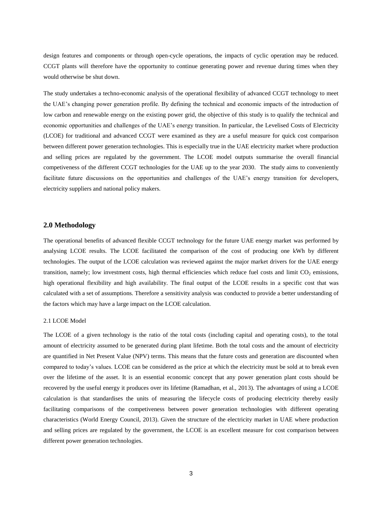design features and components or through open-cycle operations, the impacts of cyclic operation may be reduced. CCGT plants will therefore have the opportunity to continue generating power and revenue during times when they would otherwise be shut down.

The study undertakes a techno-economic analysis of the operational flexibility of advanced CCGT technology to meet the UAE"s changing power generation profile. By defining the technical and economic impacts of the introduction of low carbon and renewable energy on the existing power grid, the objective of this study is to qualify the technical and economic opportunities and challenges of the UAE"s energy transition. In particular, the Levelised Costs of Electricity (LCOE) for traditional and advanced CCGT were examined as they are a useful measure for quick cost comparison between different power generation technologies. This is especially true in the UAE electricity market where production and selling prices are regulated by the government. The LCOE model outputs summarise the overall financial competiveness of the different CCGT technologies for the UAE up to the year 2030. The study aims to conveniently facilitate future discussions on the opportunities and challenges of the UAE's energy transition for developers, electricity suppliers and national policy makers.

### **2.0 Methodology**

The operational benefits of advanced flexible CCGT technology for the future UAE energy market was performed by analysing LCOE results. The LCOE facilitated the comparison of the cost of producing one kWh by different technologies. The output of the LCOE calculation was reviewed against the major market drivers for the UAE energy transition, namely; low investment costs, high thermal efficiencies which reduce fuel costs and limit  $CO<sub>2</sub>$  emissions, high operational flexibility and high availability. The final output of the LCOE results in a specific cost that was calculated with a set of assumptions. Therefore a sensitivity analysis was conducted to provide a better understanding of the factors which may have a large impact on the LCOE calculation.

### 2.1 LCOE Model

The LCOE of a given technology is the ratio of the total costs (including capital and operating costs), to the total amount of electricity assumed to be generated during plant lifetime. Both the total costs and the amount of electricity are quantified in Net Present Value (NPV) terms. This means that the future costs and generation are discounted when compared to today"s values. LCOE can be considered as the price at which the electricity must be sold at to break even over the lifetime of the asset. It is an essential economic concept that any power generation plant costs should be recovered by the useful energy it produces over its lifetime (Ramadhan, et al., 2013). The advantages of using a LCOE calculation is that standardises the units of measuring the lifecycle costs of producing electricity thereby easily facilitating comparisons of the competiveness between power generation technologies with different operating characteristics (World Energy Council, 2013). Given the structure of the electricity market in UAE where production and selling prices are regulated by the government, the LCOE is an excellent measure for cost comparison between different power generation technologies.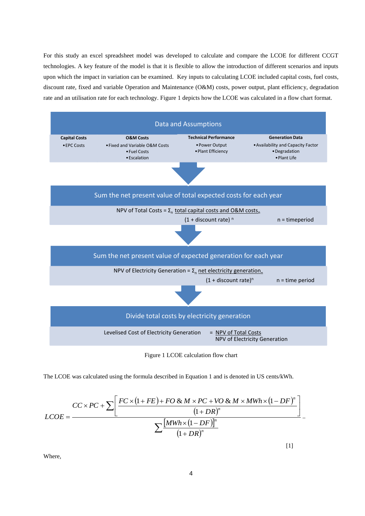For this study an excel spreadsheet model was developed to calculate and compare the LCOE for different CCGT technologies. A key feature of the model is that it is flexible to allow the introduction of different scenarios and inputs upon which the impact in variation can be examined. Key inputs to calculating LCOE included capital costs, fuel costs, discount rate, fixed and variable Operation and Maintenance (O&M) costs, power output, plant efficiency, degradation rate and an utilisation rate for each technology. Figure 1 depicts how the LCOE was calculated in a flow chart format.



Figure 1 LCOE calculation flow chart

The LCOE was calculated using the formula described in Equation 1 and is denoted in US cents/kWh.

$$
LCOE = \frac{CC \times PC + \sum \bigg[\frac{FC \times (1 + FE) + FO \& M \times PC + VO \& M \times MWh \times (1 - DF)^n}{(1 + DR)^n}\bigg]}{\sum \frac{[MWh \times (1 - DF)]^n}{(1 + DR)^n}}
$$

Where,

[1]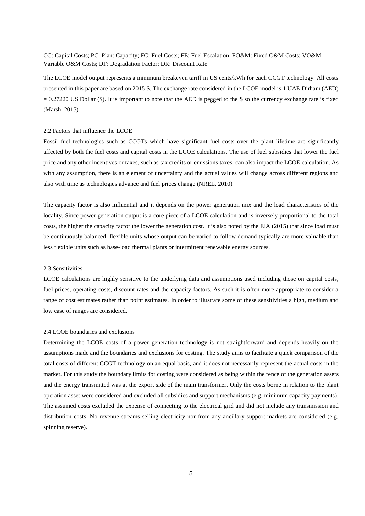CC: Capital Costs; PC: Plant Capacity; FC: Fuel Costs; FE: Fuel Escalation; FO&M: Fixed O&M Costs; VO&M: Variable O&M Costs; DF: Degradation Factor; DR: Discount Rate

The LCOE model output represents a minimum breakeven tariff in US cents/kWh for each CCGT technology. All costs presented in this paper are based on 2015 \$. The exchange rate considered in the LCOE model is 1 UAE Dirham (AED)  $= 0.27220$  US Dollar (\$). It is important to note that the AED is pegged to the \$ so the currency exchange rate is fixed (Marsh, 2015).

### 2.2 Factors that influence the LCOE

Fossil fuel technologies such as CCGTs which have significant fuel costs over the plant lifetime are significantly affected by both the fuel costs and capital costs in the LCOE calculations. The use of fuel subsidies that lower the fuel price and any other incentives or taxes, such as tax credits or emissions taxes, can also impact the LCOE calculation. As with any assumption, there is an element of uncertainty and the actual values will change across different regions and also with time as technologies advance and fuel prices change (NREL, 2010).

The capacity factor is also influential and it depends on the power generation mix and the load characteristics of the locality. Since power generation output is a core piece of a LCOE calculation and is inversely proportional to the total costs, the higher the capacity factor the lower the generation cost. It is also noted by the EIA (2015) that since load must be continuously balanced; flexible units whose output can be varied to follow demand typically are more valuable than less flexible units such as base-load thermal plants or intermittent renewable energy sources.

#### 2.3 Sensitivities

LCOE calculations are highly sensitive to the underlying data and assumptions used including those on capital costs, fuel prices, operating costs, discount rates and the capacity factors. As such it is often more appropriate to consider a range of cost estimates rather than point estimates. In order to illustrate some of these sensitivities a high, medium and low case of ranges are considered.

### 2.4 LCOE boundaries and exclusions

Determining the LCOE costs of a power generation technology is not straightforward and depends heavily on the assumptions made and the boundaries and exclusions for costing. The study aims to facilitate a quick comparison of the total costs of different CCGT technology on an equal basis, and it does not necessarily represent the actual costs in the market. For this study the boundary limits for costing were considered as being within the fence of the generation assets and the energy transmitted was at the export side of the main transformer. Only the costs borne in relation to the plant operation asset were considered and excluded all subsidies and support mechanisms (e.g. minimum capacity payments). The assumed costs excluded the expense of connecting to the electrical grid and did not include any transmission and distribution costs. No revenue streams selling electricity nor from any ancillary support markets are considered (e.g. spinning reserve).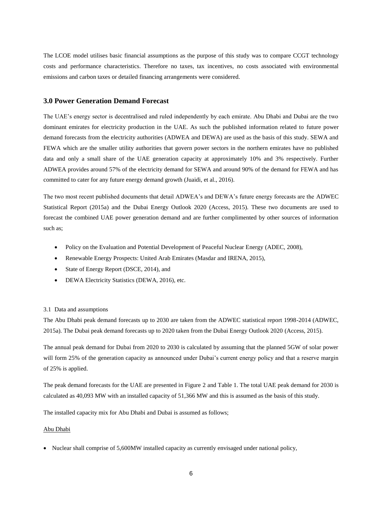The LCOE model utilises basic financial assumptions as the purpose of this study was to compare CCGT technology costs and performance characteristics. Therefore no taxes, tax incentives, no costs associated with environmental emissions and carbon taxes or detailed financing arrangements were considered.

# **3.0 Power Generation Demand Forecast**

The UAE"s energy sector is decentralised and ruled independently by each emirate. Abu Dhabi and Dubai are the two dominant emirates for electricity production in the UAE. As such the published information related to future power demand forecasts from the electricity authorities (ADWEA and DEWA) are used as the basis of this study. SEWA and FEWA which are the smaller utility authorities that govern power sectors in the northern emirates have no published data and only a small share of the UAE generation capacity at approximately 10% and 3% respectively. Further ADWEA provides around 57% of the electricity demand for SEWA and around 90% of the demand for FEWA and has committed to cater for any future energy demand growth (Juaidi, et al., 2016).

The two most recent published documents that detail ADWEA"s and DEWA"s future energy forecasts are the ADWEC Statistical Report (2015a) and the Dubai Energy Outlook 2020 (Access, 2015). These two documents are used to forecast the combined UAE power generation demand and are further complimented by other sources of information such as;

- Policy on the Evaluation and Potential Development of Peaceful Nuclear Energy (ADEC, 2008),
- Renewable Energy Prospects: United Arab Emirates (Masdar and IRENA, 2015),
- State of Energy Report (DSCE, 2014), and
- DEWA Electricity Statistics (DEWA, 2016), etc.

### 3.1 Data and assumptions

The Abu Dhabi peak demand forecasts up to 2030 are taken from the ADWEC statistical report 1998-2014 (ADWEC, 2015a). The Dubai peak demand forecasts up to 2020 taken from the Dubai Energy Outlook 2020 (Access, 2015).

The annual peak demand for Dubai from 2020 to 2030 is calculated by assuming that the planned 5GW of solar power will form 25% of the generation capacity as announced under Dubai's current energy policy and that a reserve margin of 25% is applied.

The peak demand forecasts for the UAE are presented in Figure 2 and Table 1. The total UAE peak demand for 2030 is calculated as 40,093 MW with an installed capacity of 51,366 MW and this is assumed as the basis of this study.

The installed capacity mix for Abu Dhabi and Dubai is assumed as follows;

### Abu Dhabi

• Nuclear shall comprise of 5,600MW installed capacity as currently envisaged under national policy,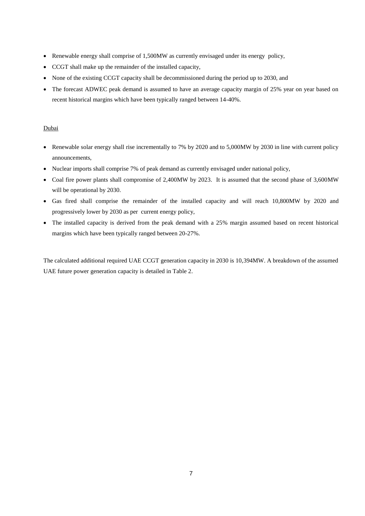- Renewable energy shall comprise of 1,500MW as currently envisaged under its energy policy,
- CCGT shall make up the remainder of the installed capacity,
- None of the existing CCGT capacity shall be decommissioned during the period up to 2030, and
- The forecast ADWEC peak demand is assumed to have an average capacity margin of 25% year on year based on recent historical margins which have been typically ranged between 14-40%.

# Dubai

- Renewable solar energy shall rise incrementally to 7% by 2020 and to 5,000 MW by 2030 in line with current policy announcements,
- Nuclear imports shall comprise 7% of peak demand as currently envisaged under national policy,
- Coal fire power plants shall compromise of 2,400MW by 2023. It is assumed that the second phase of 3,600MW will be operational by 2030.
- Gas fired shall comprise the remainder of the installed capacity and will reach 10,800MW by 2020 and progressively lower by 2030 as per current energy policy,
- The installed capacity is derived from the peak demand with a 25% margin assumed based on recent historical margins which have been typically ranged between 20-27%.

The calculated additional required UAE CCGT generation capacity in 2030 is 10,394MW. A breakdown of the assumed UAE future power generation capacity is detailed in Table 2.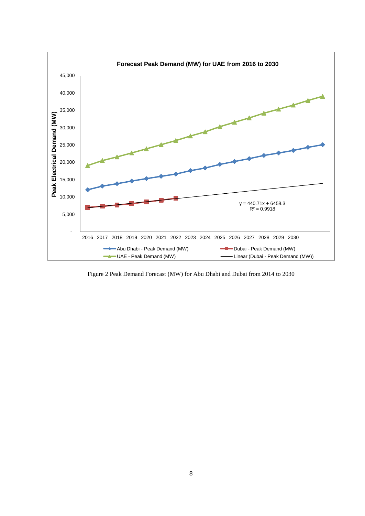

Figure 2 Peak Demand Forecast (MW) for Abu Dhabi and Dubai from 2014 to 2030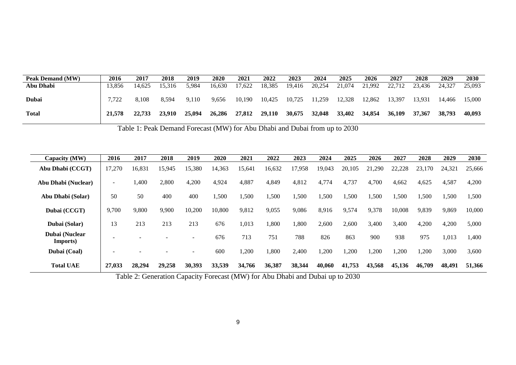| <b>Peak Demand (MW)</b> | 2016   | 2017   | <b>2018</b> | 2019   | <b>2020</b> | 2021   | 2022   | 2023   | 2024   | 2025   | 2026   | 2027   | 2028   | 2029   | 2030   |
|-------------------------|--------|--------|-------------|--------|-------------|--------|--------|--------|--------|--------|--------|--------|--------|--------|--------|
| Abu Dhabi               | 13.856 | 14.625 | 15.316      | 5.984  | 16.630      | '7,622 | 18,385 | 19,416 | 20,254 | 21,074 | 21,992 | 22,712 | 23,436 | 24.32  | 25,093 |
| <b>Dubai</b>            | 7.722  | 8.108  | 8.594       | 9,110  | 9,656       | 10,190 | 10,425 | 10,725 | 11,259 | 12,328 | 12,862 | 13,397 | 13,931 | 14,466 | 15,000 |
| Total                   | 21,578 | 22,733 | 23.910      | 25.094 | 26,286      | 27,812 | 29.110 | 30,675 | 32,048 | 33,402 | 34,854 | 36,109 | 37,367 | 38,793 | 40,093 |

Table 1: Peak Demand Forecast (MW) for Abu Dhabi and Dubai from up to 2030

| Capacity (MW)              | 2016                     | 2017   | 2018                     | 2019                     | 2020   | 2021   | 2022   | 2023   | 2024   | 2025   | 2026   | 2027   | 2028       | 2029   | 2030   |
|----------------------------|--------------------------|--------|--------------------------|--------------------------|--------|--------|--------|--------|--------|--------|--------|--------|------------|--------|--------|
| Abu Dhabi (CCGT)           | 17,270                   | 16,831 | 15,945                   | 15,380                   | 14,363 | 15,641 | 16,632 | 17,958 | 19,043 | 20,105 | 21,290 | 22,228 | 23,1<br>70 | 24,321 | 25,666 |
| Abu Dhabi (Nuclear)        | $\overline{\phantom{a}}$ | ,400   | 2,800                    | 4,200                    | 4,924  | 4,887  | 4,849  | 4,812  | 4,774  | 4,737  | 4,700  | 4,662  | 4,625      | 4,587  | 4,200  |
| Abu Dhabi (Solar)          | 50                       | 50     | 400                      | 400                      | 1,500  | 1,500  | ,500   | ,500   | 1,500  | 1,500  | 1,500  | ,500   | 1,500      | ,500   | 1,500  |
| Dubai (CCGT)               | 9,700                    | 9,800  | 9,900                    | 10,200                   | 10,800 | 9,812  | 9,055  | 9,086  | 8,916  | 9,574  | 9,378  | 10,008 | 9,839      | 9,869  | 10,000 |
| Dubai (Solar)              | 13                       | 213    | 213                      | 213                      | 676    | 1,013  | ,800   | 1,800  | 2,600  | 2,600  | 3,400  | 3,400  | 4,200      | 4,200  | 5,000  |
| Dubai (Nuclear<br>Imports) |                          |        |                          | $\equiv$                 | 676    | 713    | 751    | 788    | 826    | 863    | 900    | 938    | 975        | 1,013  | 1,400  |
| Dubai (Coal)               |                          |        | $\overline{\phantom{a}}$ | $\overline{\phantom{a}}$ | 600    | ,200   | ,800   | 2,400  | ,200   | ,200   | ,200   | 1,200  | 1,200      | 3,000  | 3,600  |
| <b>Total UAE</b>           | 27,033                   | 28,294 | 29,258                   | 30,393                   | 33,539 | 34,766 | 36,387 | 38,344 | 40,060 | 41,753 | 43,568 | 45,136 | 46,709     | 48,491 | 51,366 |

Table 2: Generation Capacity Forecast (MW) for Abu Dhabi and Dubai up to 2030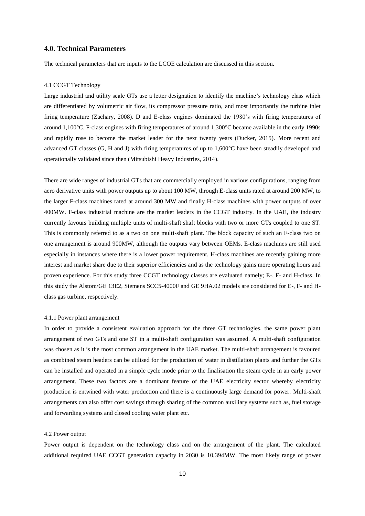# **4.0. Technical Parameters**

The technical parameters that are inputs to the LCOE calculation are discussed in this section.

#### 4.1 CCGT Technology

Large industrial and utility scale GTs use a letter designation to identify the machine's technology class which are differentiated by volumetric air flow, its compressor pressure ratio, and most importantly the turbine inlet firing temperature (Zachary, 2008). D and E-class engines dominated the 1980"s with firing temperatures of around 1,100°C. F-class engines with firing temperatures of around 1,300°C became available in the early 1990s and rapidly rose to become the market leader for the next twenty years (Ducker, 2015). More recent and advanced GT classes (G, H and J) with firing temperatures of up to 1,600°C have been steadily developed and operationally validated since then (Mitsubishi Heavy Industries, 2014).

There are wide ranges of industrial GTs that are commercially employed in various configurations, ranging from aero derivative units with power outputs up to about 100 MW, through E-class units rated at around 200 MW, to the larger F-class machines rated at around 300 MW and finally H-class machines with power outputs of over 400MW. F-class industrial machine are the market leaders in the CCGT industry. In the UAE, the industry currently favours building multiple units of multi-shaft shaft blocks with two or more GTs coupled to one ST. This is commonly referred to as a two on one multi-shaft plant. The block capacity of such an F-class two on one arrangement is around 900MW, although the outputs vary between OEMs. E-class machines are still used especially in instances where there is a lower power requirement. H-class machines are recently gaining more interest and market share due to their superior efficiencies and as the technology gains more operating hours and proven experience. For this study three CCGT technology classes are evaluated namely; E-, F- and H-class. In this study the Alstom/GE 13E2, Siemens SCC5-4000F and GE 9HA.02 models are considered for E-, F- and Hclass gas turbine, respectively.

#### 4.1.1 Power plant arrangement

In order to provide a consistent evaluation approach for the three GT technologies, the same power plant arrangement of two GTs and one ST in a multi-shaft configuration was assumed. A multi-shaft configuration was chosen as it is the most common arrangement in the UAE market. The multi-shaft arrangement is favoured as combined steam headers can be utilised for the production of water in distillation plants and further the GTs can be installed and operated in a simple cycle mode prior to the finalisation the steam cycle in an early power arrangement. These two factors are a dominant feature of the UAE electricity sector whereby electricity production is entwined with water production and there is a continuously large demand for power. Multi-shaft arrangements can also offer cost savings through sharing of the common auxiliary systems such as, fuel storage and forwarding systems and closed cooling water plant etc.

### 4.2 Power output

Power output is dependent on the technology class and on the arrangement of the plant. The calculated additional required UAE CCGT generation capacity in 2030 is 10,394MW. The most likely range of power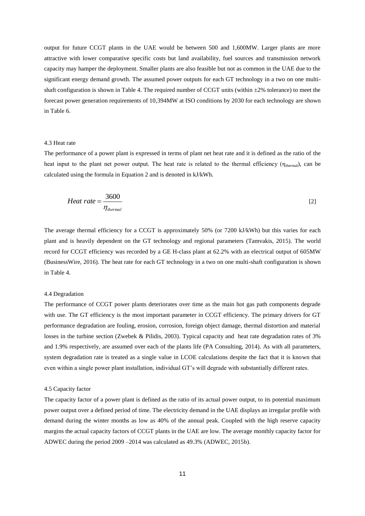output for future CCGT plants in the UAE would be between 500 and 1,600MW. Larger plants are more attractive with lower comparative specific costs but land availability, fuel sources and transmission network capacity may hamper the deployment. Smaller plants are also feasible but not as common in the UAE due to the significant energy demand growth. The assumed power outputs for each GT technology in a two on one multishaft configuration is shown in Table 4. The required number of CCGT units (within  $\pm 2\%$  tolerance) to meet the forecast power generation requirements of 10,394MW at ISO conditions by 2030 for each technology are shown in Table 6.

#### 4.3 Heat rate

The performance of a power plant is expressed in terms of plant net heat rate and it is defined as the ratio of the heat input to the plant net power output. The heat rate is related to the thermal efficiency ( $\eta_{\text{thermal}}$ ), can be calculated using the formula in Equation 2 and is denoted in kJ/kWh.

$$
Heat rate = \frac{3600}{\eta_{thermal}}
$$
 [2]

The average thermal efficiency for a CCGT is approximately 50% (or 7200 kJ/kWh) but this varies for each plant and is heavily dependent on the GT technology and regional parameters (Tamvakis, 2015). The world record for CCGT efficiency was recorded by a GE H-class plant at 62.2% with an electrical output of 605MW (BusinessWire, 2016). The heat rate for each GT technology in a two on one multi-shaft configuration is shown in Table 4.

### 4.4 Degradation

The performance of CCGT power plants deteriorates over time as the main hot gas path components degrade with use. The GT efficiency is the most important parameter in CCGT efficiency. The primary drivers for GT performance degradation are fouling, erosion, corrosion, foreign object damage, thermal distortion and material losses in the turbine section (Zwebek & Pilidis, 2003). Typical capacity and heat rate degradation rates of 3% and 1.9% respectively, are assumed over each of the plants life (PA Consulting, 2014). As with all parameters, system degradation rate is treated as a single value in LCOE calculations despite the fact that it is known that even within a single power plant installation, individual GT"s will degrade with substantially different rates.

#### 4.5 Capacity factor

The capacity factor of a power plant is defined as the ratio of its actual power output, to its potential maximum power output over a defined period of time. The electricity demand in the UAE displays an irregular profile with demand during the winter months as low as 40% of the annual peak. Coupled with the high reserve capacity margins the actual capacity factors of CCGT plants in the UAE are low. The average monthly capacity factor for ADWEC during the period 2009 –2014 was calculated as 49.3% (ADWEC, 2015b).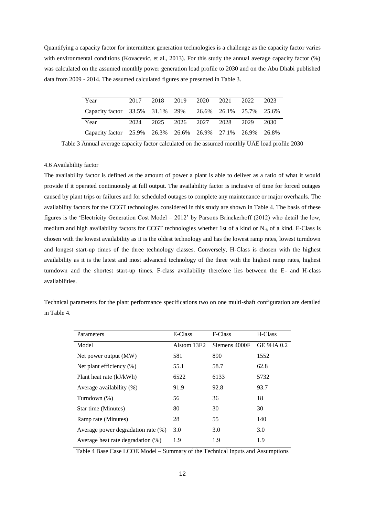Quantifying a capacity factor for intermittent generation technologies is a challenge as the capacity factor varies with environmental conditions (Kovacevic, et al., 2013). For this study the annual average capacity factor (%) was calculated on the assumed monthly power generation load profile to 2030 and on the Abu Dhabi published data from 2009 - 2014. The assumed calculated figures are presented in Table 3.

| Year                                                        |  |  |  |  |
|-------------------------------------------------------------|--|--|--|--|
| Capacity factor   33.5% 31.1% 29% 26.6% 26.1% 25.7% 25.6%   |  |  |  |  |
| Year                                                        |  |  |  |  |
| Capacity factor   25.9% 26.3% 26.6% 26.9% 27.1% 26.9% 26.8% |  |  |  |  |

Table 3 Annual average capacity factor calculated on the assumed monthly UAE load profile 2030

### 4.6 Availability factor

The availability factor is defined as the amount of power a plant is able to deliver as a ratio of what it would provide if it operated continuously at full output. The availability factor is inclusive of time for forced outages caused by plant trips or failures and for scheduled outages to complete any maintenance or major overhauls. The availability factors for the CCGT technologies considered in this study are shown in Table 4. The basis of these figures is the "Electricity Generation Cost Model – 2012" by Parsons Brinckerhoff (2012) who detail the low, medium and high availability factors for CCGT technologies whether 1st of a kind or  $N_{th}$  of a kind. E-Class is chosen with the lowest availability as it is the oldest technology and has the lowest ramp rates, lowest turndown and longest start-up times of the three technology classes. Conversely, H-Class is chosen with the highest availability as it is the latest and most advanced technology of the three with the highest ramp rates, highest turndown and the shortest start-up times. F-class availability therefore lies between the E- and H-class availabilities.

Technical parameters for the plant performance specifications two on one multi-shaft configuration are detailed in Table 4.

| Parameters                         | E-Class     | F-Class       | H-Class           |
|------------------------------------|-------------|---------------|-------------------|
| Model                              | Alstom 13E2 | Siemens 4000F | <b>GE 9HA 0.2</b> |
| Net power output (MW)              | 581         | 890           | 1552              |
| Net plant efficiency $(\%)$        | 55.1        | 58.7          | 62.8              |
| Plant heat rate (kJ/kWh)           | 6522        | 6133          | 5732              |
| Average availability (%)           | 91.9        | 92.8          | 93.7              |
| Turndown $(\%)$                    | 56          | 36            | 18                |
| Star time (Minutes)                | 80          | 30            | 30                |
| Ramp rate (Minutes)                | 28          | 55            | 140               |
| Average power degradation rate (%) | 3.0         | 3.0           | 3.0               |
| Average heat rate degradation (%)  | 1.9         | 1.9           | 1.9               |

Table 4 Base Case LCOE Model – Summary of the Technical Inputs and Assumptions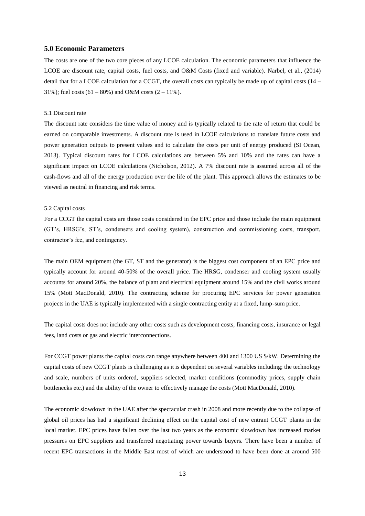# **5.0 Economic Parameters**

The costs are one of the two core pieces of any LCOE calculation. The economic parameters that influence the LCOE are discount rate, capital costs, fuel costs, and O&M Costs (fixed and variable). Narbel, et al., (2014) detail that for a LCOE calculation for a CCGT, the overall costs can typically be made up of capital costs (14 – 31%); fuel costs  $(61 - 80\%)$  and O&M costs  $(2 - 11\%)$ .

### 5.1 Discount rate

The discount rate considers the time value of money and is typically related to the rate of return that could be earned on comparable investments. A discount rate is used in LCOE calculations to translate future costs and power generation outputs to present values and to calculate the costs per unit of energy produced (SI Ocean, 2013). Typical discount rates for LCOE calculations are between 5% and 10% and the rates can have a significant impact on LCOE calculations (Nicholson, 2012). A 7% discount rate is assumed across all of the cash-flows and all of the energy production over the life of the plant. This approach allows the estimates to be viewed as neutral in financing and risk terms.

### 5.2 Capital costs

For a CCGT the capital costs are those costs considered in the EPC price and those include the main equipment (GT"s, HRSG"s, ST"s, condensers and cooling system), construction and commissioning costs, transport, contractor's fee, and contingency.

The main OEM equipment (the GT, ST and the generator) is the biggest cost component of an EPC price and typically account for around 40-50% of the overall price. The HRSG, condenser and cooling system usually accounts for around 20%, the balance of plant and electrical equipment around 15% and the civil works around 15% (Mott MacDonald, 2010). The contracting scheme for procuring EPC services for power generation projects in the UAE is typically implemented with a single contracting entity at a fixed, lump-sum price.

The capital costs does not include any other costs such as development costs, financing costs, insurance or legal fees, land costs or gas and electric interconnections.

For CCGT power plants the capital costs can range anywhere between 400 and 1300 US  $\frac{1}{8}$ KW. Determining the capital costs of new CCGT plants is challenging as it is dependent on several variables including; the technology and scale, numbers of units ordered, suppliers selected, market conditions (commodity prices, supply chain bottlenecks etc.) and the ability of the owner to effectively manage the costs (Mott MacDonald, 2010).

The economic slowdown in the UAE after the spectacular crash in 2008 and more recently due to the collapse of global oil prices has had a significant declining effect on the capital cost of new entrant CCGT plants in the local market. EPC prices have fallen over the last two years as the economic slowdown has increased market pressures on EPC suppliers and transferred negotiating power towards buyers. There have been a number of recent EPC transactions in the Middle East most of which are understood to have been done at around 500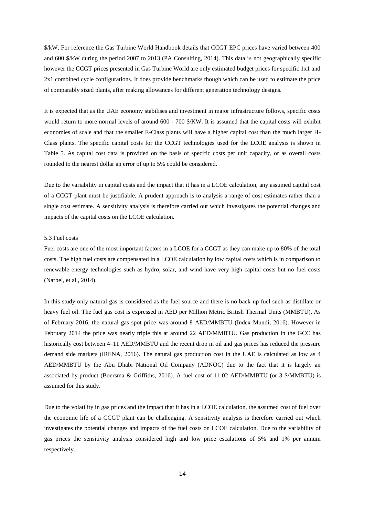\$/kW. For reference the Gas Turbine World Handbook details that CCGT EPC prices have varied between 400 and 600 \$/kW during the period 2007 to 2013 (PA Consulting, 2014). This data is not geographically specific however the CCGT prices presented in Gas Turbine World are only estimated budget prices for specific 1x1 and 2x1 combined cycle configurations. It does provide benchmarks though which can be used to estimate the price of comparably sized plants, after making allowances for different generation technology designs.

It is expected that as the UAE economy stabilises and investment in major infrastructure follows, specific costs would return to more normal levels of around 600 - 700 \$/KW. It is assumed that the capital costs will exhibit economies of scale and that the smaller E-Class plants will have a higher capital cost than the much larger H-Class plants. The specific capital costs for the CCGT technologies used for the LCOE analysis is shown in Table 5. As capital cost data is provided on the basis of specific costs per unit capacity, or as overall costs rounded to the nearest dollar an error of up to 5% could be considered.

Due to the variability in capital costs and the impact that it has in a LCOE calculation, any assumed capital cost of a CCGT plant must be justifiable. A prudent approach is to analysis a range of cost estimates rather than a single cost estimate. A sensitivity analysis is therefore carried out which investigates the potential changes and impacts of the capital costs on the LCOE calculation.

### 5.3 Fuel costs

Fuel costs are one of the most important factors in a LCOE for a CCGT as they can make up to 80% of the total costs. The high fuel costs are compensated in a LCOE calculation by low capital costs which is in comparison to renewable energy technologies such as hydro, solar, and wind have very high capital costs but no fuel costs (Narbel, et al., 2014).

In this study only natural gas is considered as the fuel source and there is no back-up fuel such as distillate or heavy fuel oil. The fuel gas cost is expressed in AED per Million Metric British Thermal Units (MMBTU). As of February 2016, the natural gas spot price was around 8 AED/MMBTU (Index Mundi, 2016). However in February 2014 the price was nearly triple this at around 22 AED/MMBTU. Gas production in the GCC has historically cost between 4–11 AED/MMBTU and the recent drop in oil and gas prices has reduced the pressure demand side markets (IRENA, 2016). The natural gas production cost in the UAE is calculated as low as 4 AED/MMBTU by the Abu Dhabi National Oil Company (ADNOC) due to the fact that it is largely an associated by-product (Boersma & Griffiths, 2016). A fuel cost of 11.02 AED/MMBTU (or 3 \$/MMBTU) is assumed for this study.

Due to the volatility in gas prices and the impact that it has in a LCOE calculation, the assumed cost of fuel over the economic life of a CCGT plant can be challenging. A sensitivity analysis is therefore carried out which investigates the potential changes and impacts of the fuel costs on LCOE calculation. Due to the variability of gas prices the sensitivity analysis considered high and low price escalations of 5% and 1% per annum respectively.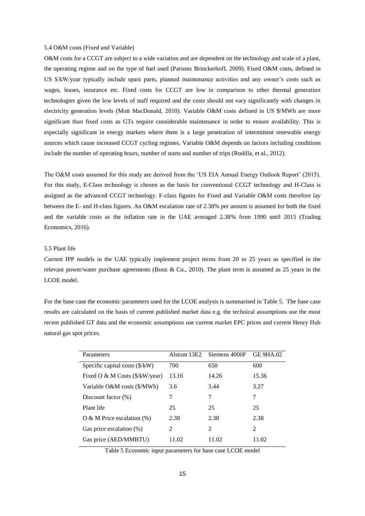### 5.4 O&M costs (Fixed and Variable)

O&M costs for a CCGT are subject to a wide variation and are dependent on the technology and scale of a plant, the operating regime and on the type of fuel used (Parsons Brinckerhoff, 2009). Fixed O&M costs, defined in US \$/kW/year typically include spare parts, planned maintenance activities and any owner"s costs such as wages, leases, insurance etc. Fixed costs for CCGT are low in comparison to other thermal generation technologies given the low levels of staff required and the costs should not vary significantly with changes in electricity generation levels (Mott MacDonald, 2010). Variable O&M costs defined in US \$/MWh are more significant than fixed costs as GTs require considerable maintenance in order to ensure availability. This is especially significant in energy markets where there is a large penetration of intermittent renewable energy sources which cause increased CCGT cycling regimes. Variable O&M depends on factors including conditions include the number of operating hours, number of starts and number of trips (Rodilla, et al., 2012).

The O&M costs assumed for this study are derived from the 'US EIA Annual Energy Outlook Report' (2015). For this study, E-Class technology is chosen as the basis for conventional CCGT technology and H-Class is assigned as the advanced CCGT technology. F-class figures for Fixed and Variable O&M costs therefore lay between the E- and H-class figures. An O&M escalation rate of 2.38% per annum is assumed for both the fixed and the variable costs as the inflation rate in the UAE averaged 2.38% from 1990 until 2015 (Trading Economics, 2016).

# 5.5 Plant life

Current IPP models in the UAE typically implement project terms from 20 to 25 years as specified in the relevant power/water purchase agreements (Booz & Co., 2010). The plant term is assumed as 25 years in the LCOE model.

For the base case the economic parameters used for the LCOE analysis is summarised in Table 5. The base case results are calculated on the basis of current published market data e.g. the technical assumptions use the most recent published GT data and the economic assumptions use current market EPC prices and current Henry Hub natural gas spot prices.

| Parameters                               | Alstom 13E2 | Siemens 4000F  | <b>GE 9HA.02</b> |
|------------------------------------------|-------------|----------------|------------------|
| Specific capital costs $(\frac{K}{W})$   | 700         | 650            | 600              |
| Fixed O & M Costs $(\frac{8}{kW}$ /year) | 13.16       | 14.26          | 15.36            |
| Variable O&M costs (\$/MWh)              | 3.6         | 3.44           | 3.27             |
| Discount factor $(\%)$                   | 7           | 7              | 7                |
| Plant life                               | 25          | 25             | 25               |
| $\overline{O}$ & M Price escalation (%)  | 2.38        | 2.38           | 2.38             |
| Gas price escalation (%)                 | 2           | $\mathfrak{D}$ | $\mathfrak{D}$   |
| Gas price (AED/MMBTU)                    | 11.02       | 11.02          | 11.02            |

Table 5 Economic input parameters for base case LCOE model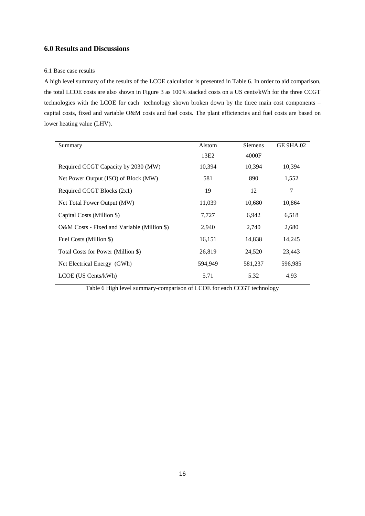# **6.0 Results and Discussions**

# 6.1 Base case results

A high level summary of the results of the LCOE calculation is presented in Table 6. In order to aid comparison, the total LCOE costs are also shown in Figure 3 as 100% stacked costs on a US cents/kWh for the three CCGT technologies with the LCOE for each technology shown broken down by the three main cost components – capital costs, fixed and variable O&M costs and fuel costs. The plant efficiencies and fuel costs are based on lower heating value (LHV).

| Summary                                     | Alstom  | <b>Siemens</b> | GE 9HA.02 |
|---------------------------------------------|---------|----------------|-----------|
|                                             | 13E2    | 4000F          |           |
| Required CCGT Capacity by 2030 (MW)         | 10,394  | 10,394         | 10,394    |
| Net Power Output (ISO) of Block (MW)        | 581     | 890            | 1,552     |
| Required CCGT Blocks (2x1)                  | 19      | 12             | 7         |
| Net Total Power Output (MW)                 | 11,039  | 10,680         | 10,864    |
| Capital Costs (Million \$)                  | 7,727   | 6,942          | 6,518     |
| O&M Costs - Fixed and Variable (Million \$) | 2,940   | 2,740          | 2,680     |
| Fuel Costs (Million \$)                     | 16,151  | 14,838         | 14,245    |
| Total Costs for Power (Million \$)          | 26,819  | 24,520         | 23,443    |
| Net Electrical Energy (GWh)                 | 594,949 | 581,237        | 596,985   |
| LCOE (US Cents/kWh)                         | 5.71    | 5.32           | 4.93      |

Table 6 High level summary-comparison of LCOE for each CCGT technology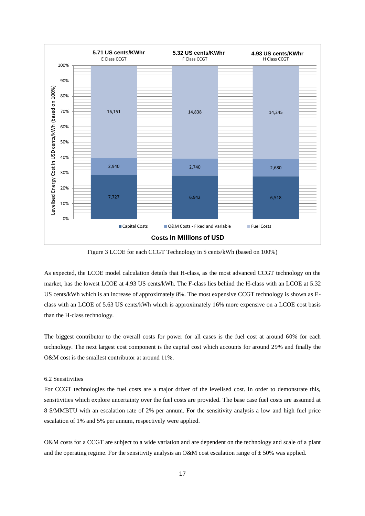

Figure 3 LCOE for each CCGT Technology in \$ cents/kWh (based on 100%)

As expected, the LCOE model calculation details that H-class, as the most advanced CCGT technology on the market, has the lowest LCOE at 4.93 US cents/kWh. The F-class lies behind the H-class with an LCOE at 5.32 US cents/kWh which is an increase of approximately 8%. The most expensive CCGT technology is shown as Eclass with an LCOE of 5.63 US cents/kWh which is approximately 16% more expensive on a LCOE cost basis than the H-class technology.

The biggest contributor to the overall costs for power for all cases is the fuel cost at around 60% for each technology. The next largest cost component is the capital cost which accounts for around 29% and finally the O&M cost is the smallest contributor at around 11%.

### 6.2 Sensitivities

For CCGT technologies the fuel costs are a major driver of the levelised cost. In order to demonstrate this, sensitivities which explore uncertainty over the fuel costs are provided. The base case fuel costs are assumed at 8 \$/MMBTU with an escalation rate of 2% per annum. For the sensitivity analysis a low and high fuel price escalation of 1% and 5% per annum, respectively were applied.

O&M costs for a CCGT are subject to a wide variation and are dependent on the technology and scale of a plant and the operating regime. For the sensitivity analysis an O&M cost escalation range of  $\pm$  50% was applied.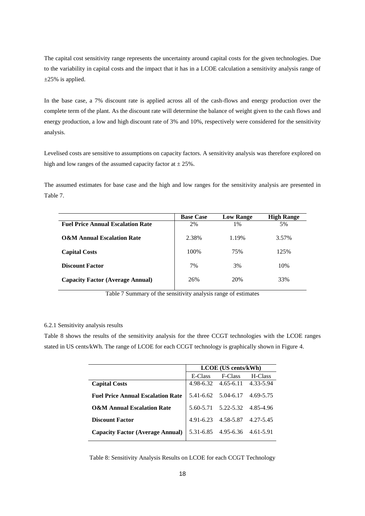The capital cost sensitivity range represents the uncertainty around capital costs for the given technologies. Due to the variability in capital costs and the impact that it has in a LCOE calculation a sensitivity analysis range of  $\pm 25\%$  is applied.

In the base case, a 7% discount rate is applied across all of the cash-flows and energy production over the complete term of the plant. As the discount rate will determine the balance of weight given to the cash flows and energy production, a low and high discount rate of 3% and 10%, respectively were considered for the sensitivity analysis.

Levelised costs are sensitive to assumptions on capacity factors. A sensitivity analysis was therefore explored on high and low ranges of the assumed capacity factor at  $\pm 25\%$ .

The assumed estimates for base case and the high and low ranges for the sensitivity analysis are presented in Table 7.

|                                          | <b>Base Case</b> | <b>Low Range</b> | <b>High Range</b> |
|------------------------------------------|------------------|------------------|-------------------|
| <b>Fuel Price Annual Escalation Rate</b> | 2%               | 1%               | 5%                |
| <b>O&amp;M Annual Escalation Rate</b>    | 2.38%            | 1.19%            | 3.57%             |
| <b>Capital Costs</b>                     | 100%             | 75%              | 125%              |
| <b>Discount Factor</b>                   | 7%               | 3%               | 10%               |
| <b>Capacity Factor (Average Annual)</b>  | 26%              | 20%              | 33%               |

Table 7 Summary of the sensitivity analysis range of estimates

### 6.2.1 Sensitivity analysis results

Table 8 shows the results of the sensitivity analysis for the three CCGT technologies with the LCOE ranges stated in US cents/kWh. The range of LCOE for each CCGT technology is graphically shown in Figure 4.

|                                          | <b>LCOE</b> (US cents/kWh) |                               |           |  |  |  |
|------------------------------------------|----------------------------|-------------------------------|-----------|--|--|--|
|                                          | E-Class                    | F-Class                       | H-Class   |  |  |  |
| <b>Capital Costs</b>                     |                            | 4.98-6.32 4.65-6.11 4.33-5.94 |           |  |  |  |
| <b>Fuel Price Annual Escalation Rate</b> |                            | 5.41-6.62 5.04-6.17 4.69-5.75 |           |  |  |  |
| <b>O&amp;M Annual Escalation Rate</b>    |                            | 5.60-5.71 5.22-5.32           | 4.85-4.96 |  |  |  |
| Discount Factor                          | 4.91-6.23                  | 4.58-5.87                     | 4.27-5.45 |  |  |  |
| <b>Capacity Factor (Average Annual)</b>  |                            | 5.31-6.85 4.95-6.36           | 4.61-5.91 |  |  |  |

Table 8: Sensitivity Analysis Results on LCOE for each CCGT Technology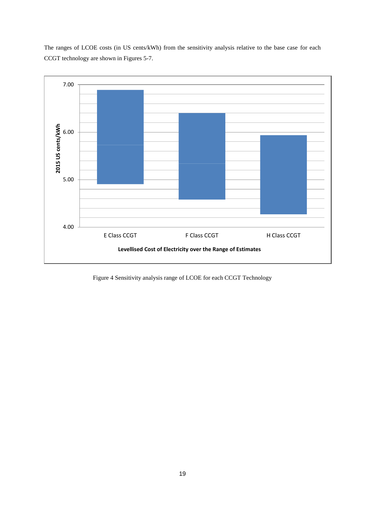The ranges of LCOE costs (in US cents/kWh) from the sensitivity analysis relative to the base case for each CCGT technology are shown in Figures 5-7.



Figure 4 Sensitivity analysis range of LCOE for each CCGT Technology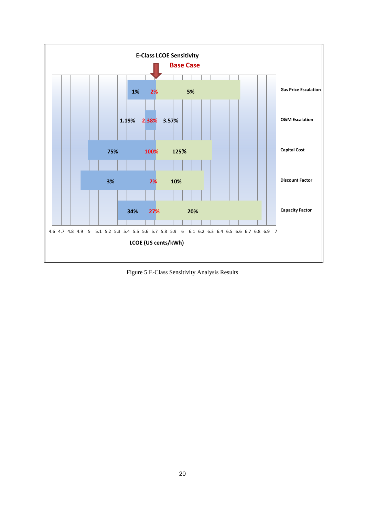

Figure 5 E-Class Sensitivity Analysis Results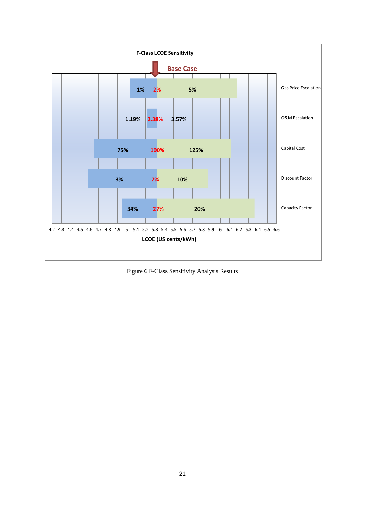

Figure 6 F-Class Sensitivity Analysis Results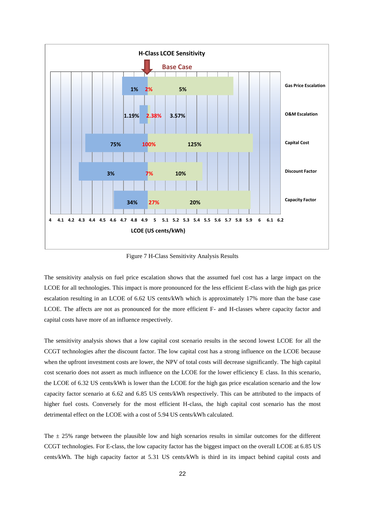

Figure 7 H-Class Sensitivity Analysis Results

The sensitivity analysis on fuel price escalation shows that the assumed fuel cost has a large impact on the LCOE for all technologies. This impact is more pronounced for the less efficient E-class with the high gas price escalation resulting in an LCOE of 6.62 US cents/kWh which is approximately 17% more than the base case LCOE. The affects are not as pronounced for the more efficient F- and H-classes where capacity factor and capital costs have more of an influence respectively.

The sensitivity analysis shows that a low capital cost scenario results in the second lowest LCOE for all the CCGT technologies after the discount factor. The low capital cost has a strong influence on the LCOE because when the upfront investment costs are lower, the NPV of total costs will decrease significantly. The high capital cost scenario does not assert as much influence on the LCOE for the lower efficiency E class. In this scenario, the LCOE of 6.32 US cents/kWh is lower than the LCOE for the high gas price escalation scenario and the low capacity factor scenario at 6.62 and 6.85 US cents/kWh respectively. This can be attributed to the impacts of higher fuel costs. Conversely for the most efficient H-class, the high capital cost scenario has the most detrimental effect on the LCOE with a cost of 5.94 US cents/kWh calculated.

The  $\pm$  25% range between the plausible low and high scenarios results in similar outcomes for the different CCGT technologies. For E-class, the low capacity factor has the biggest impact on the overall LCOE at 6.85 US cents/kWh. The high capacity factor at 5.31 US cents/kWh is third in its impact behind capital costs and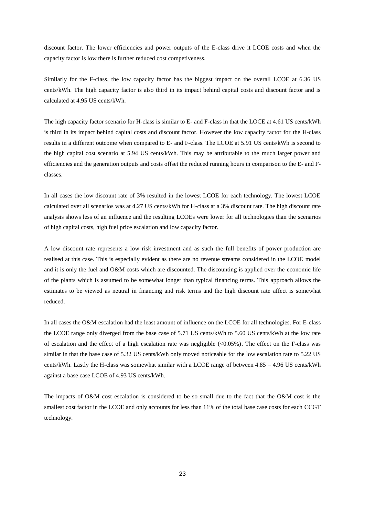discount factor. The lower efficiencies and power outputs of the E-class drive it LCOE costs and when the capacity factor is low there is further reduced cost competiveness.

Similarly for the F-class, the low capacity factor has the biggest impact on the overall LCOE at 6.36 US cents/kWh. The high capacity factor is also third in its impact behind capital costs and discount factor and is calculated at 4.95 US cents/kWh.

The high capacity factor scenario for H-class is similar to E- and F-class in that the LOCE at 4.61 US cents/kWh is third in its impact behind capital costs and discount factor. However the low capacity factor for the H-class results in a different outcome when compared to E- and F-class. The LCOE at 5.91 US cents/kWh is second to the high capital cost scenario at 5.94 US cents/kWh. This may be attributable to the much larger power and efficiencies and the generation outputs and costs offset the reduced running hours in comparison to the E- and Fclasses.

In all cases the low discount rate of 3% resulted in the lowest LCOE for each technology. The lowest LCOE calculated over all scenarios was at 4.27 US cents/kWh for H-class at a 3% discount rate. The high discount rate analysis shows less of an influence and the resulting LCOEs were lower for all technologies than the scenarios of high capital costs, high fuel price escalation and low capacity factor.

A low discount rate represents a low risk investment and as such the full benefits of power production are realised at this case. This is especially evident as there are no revenue streams considered in the LCOE model and it is only the fuel and O&M costs which are discounted. The discounting is applied over the economic life of the plants which is assumed to be somewhat longer than typical financing terms. This approach allows the estimates to be viewed as neutral in financing and risk terms and the high discount rate affect is somewhat reduced.

In all cases the O&M escalation had the least amount of influence on the LCOE for all technologies. For E-class the LCOE range only diverged from the base case of 5.71 US cents/kWh to 5.60 US cents/kWh at the low rate of escalation and the effect of a high escalation rate was negligible (<0.05%). The effect on the F-class was similar in that the base case of 5.32 US cents/kWh only moved noticeable for the low escalation rate to 5.22 US cents/kWh. Lastly the H-class was somewhat similar with a LCOE range of between 4.85 – 4.96 US cents/kWh against a base case LCOE of 4.93 US cents/kWh.

The impacts of O&M cost escalation is considered to be so small due to the fact that the O&M cost is the smallest cost factor in the LCOE and only accounts for less than 11% of the total base case costs for each CCGT technology.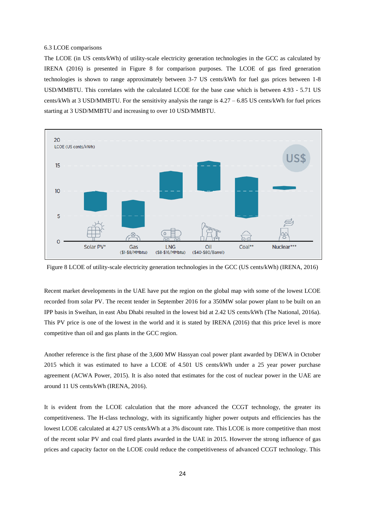### 6.3 LCOE comparisons

The LCOE (in US cents/kWh) of utility-scale electricity generation technologies in the GCC as calculated by IRENA (2016) is presented in Figure 8 for comparison purposes. The LCOE of gas fired generation technologies is shown to range approximately between 3-7 US cents/kWh for fuel gas prices between 1-8 USD/MMBTU. This correlates with the calculated LCOE for the base case which is between 4.93 - 5.71 US cents/kWh at 3 USD/MMBTU. For the sensitivity analysis the range is  $4.27 - 6.85$  US cents/kWh for fuel prices starting at 3 USD/MMBTU and increasing to over 10 USD/MMBTU.



Figure 8 LCOE of utility-scale electricity generation technologies in the GCC (US cents/kWh) (IRENA, 2016)

Recent market developments in the UAE have put the region on the global map with some of the lowest LCOE recorded from solar PV. The recent tender in September 2016 for a 350MW solar power plant to be built on an IPP basis in Sweihan, in east Abu Dhabi resulted in the lowest bid at 2.42 US cents/kWh (The National, 2016a). This PV price is one of the lowest in the world and it is stated by IRENA (2016) that this price level is more competitive than oil and gas plants in the GCC region.

Another reference is the first phase of the 3,600 MW Hassyan coal power plant awarded by DEWA in October 2015 which it was estimated to have a LCOE of 4.501 US cents/kWh under a 25 year power purchase agreement (ACWA Power, 2015). It is also noted that estimates for the cost of nuclear power in the UAE are around 11 US cents/kWh (IRENA, 2016).

It is evident from the LCOE calculation that the more advanced the CCGT technology, the greater its competitiveness. The H-class technology, with its significantly higher power outputs and efficiencies has the lowest LCOE calculated at 4.27 US cents/kWh at a 3% discount rate. This LCOE is more competitive than most of the recent solar PV and coal fired plants awarded in the UAE in 2015. However the strong influence of gas prices and capacity factor on the LCOE could reduce the competitiveness of advanced CCGT technology. This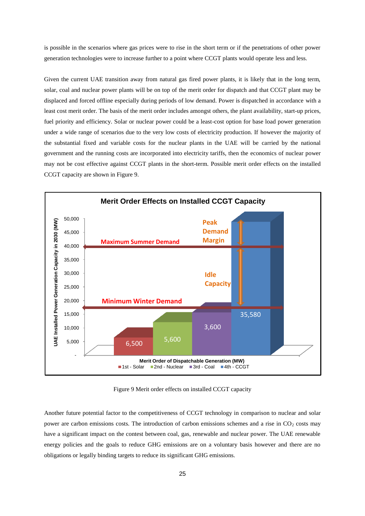is possible in the scenarios where gas prices were to rise in the short term or if the penetrations of other power generation technologies were to increase further to a point where CCGT plants would operate less and less.

Given the current UAE transition away from natural gas fired power plants, it is likely that in the long term, solar, coal and nuclear power plants will be on top of the merit order for dispatch and that CCGT plant may be displaced and forced offline especially during periods of low demand. Power is dispatched in accordance with a least cost merit order. The basis of the merit order includes amongst others, the plant availability, start-up prices, fuel priority and efficiency. Solar or nuclear power could be a least-cost option for base load power generation under a wide range of scenarios due to the very low costs of electricity production. If however the majority of the substantial fixed and variable costs for the nuclear plants in the UAE will be carried by the national government and the running costs are incorporated into electricity tariffs, then the economics of nuclear power may not be cost effective against CCGT plants in the short-term. Possible merit order effects on the installed CCGT capacity are shown in Figure 9.



Figure 9 Merit order effects on installed CCGT capacity

Another future potential factor to the competitiveness of CCGT technology in comparison to nuclear and solar power are carbon emissions costs. The introduction of carbon emissions schemes and a rise in  $CO<sub>2</sub>$  costs may have a significant impact on the contest between coal, gas, renewable and nuclear power. The UAE renewable energy policies and the goals to reduce GHG emissions are on a voluntary basis however and there are no obligations or legally binding targets to reduce its significant GHG emissions.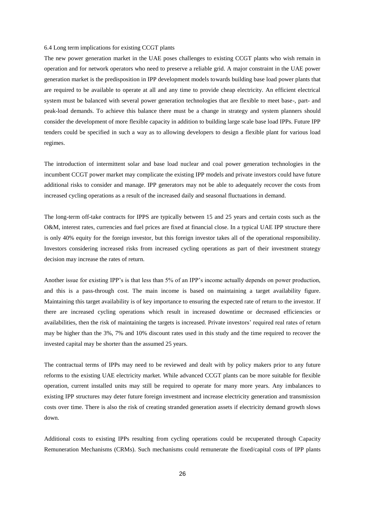### 6.4 Long term implications for existing CCGT plants

The new power generation market in the UAE poses challenges to existing CCGT plants who wish remain in operation and for network operators who need to preserve a reliable grid. A major constraint in the UAE power generation market is the predisposition in IPP development models towards building base load power plants that are required to be available to operate at all and any time to provide cheap electricity. An efficient electrical system must be balanced with several power generation technologies that are flexible to meet base-, part- and peak-load demands. To achieve this balance there must be a change in strategy and system planners should consider the development of more flexible capacity in addition to building large scale base load IPPs. Future IPP tenders could be specified in such a way as to allowing developers to design a flexible plant for various load regimes.

The introduction of intermittent solar and base load nuclear and coal power generation technologies in the incumbent CCGT power market may complicate the existing IPP models and private investors could have future additional risks to consider and manage. IPP generators may not be able to adequately recover the costs from increased cycling operations as a result of the increased daily and seasonal fluctuations in demand.

The long-term off-take contracts for IPPS are typically between 15 and 25 years and certain costs such as the O&M, interest rates, currencies and fuel prices are fixed at financial close. In a typical UAE IPP structure there is only 40% equity for the foreign investor, but this foreign investor takes all of the operational responsibility. Investors considering increased risks from increased cycling operations as part of their investment strategy decision may increase the rates of return.

Another issue for existing IPP"s is that less than 5% of an IPP"s income actually depends on power production, and this is a pass-through cost. The main income is based on maintaining a target availability figure. Maintaining this target availability is of key importance to ensuring the expected rate of return to the investor. If there are increased cycling operations which result in increased downtime or decreased efficiencies or availabilities, then the risk of maintaining the targets is increased. Private investors" required real rates of return may be higher than the 3%, 7% and 10% discount rates used in this study and the time required to recover the invested capital may be shorter than the assumed 25 years.

The contractual terms of IPPs may need to be reviewed and dealt with by policy makers prior to any future reforms to the existing UAE electricity market. While advanced CCGT plants can be more suitable for flexible operation, current installed units may still be required to operate for many more years. Any imbalances to existing IPP structures may deter future foreign investment and increase electricity generation and transmission costs over time. There is also the risk of creating stranded generation assets if electricity demand growth slows down.

Additional costs to existing IPPs resulting from cycling operations could be recuperated through Capacity Remuneration Mechanisms (CRMs). Such mechanisms could remunerate the fixed/capital costs of IPP plants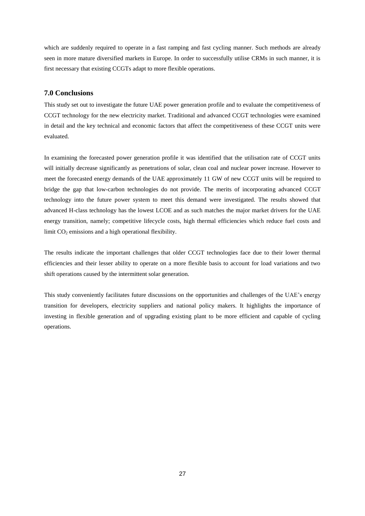which are suddenly required to operate in a fast ramping and fast cycling manner. Such methods are already seen in more mature diversified markets in Europe. In order to successfully utilise CRMs in such manner, it is first necessary that existing CCGTs adapt to more flexible operations.

# **7.0 Conclusions**

This study set out to investigate the future UAE power generation profile and to evaluate the competitiveness of CCGT technology for the new electricity market. Traditional and advanced CCGT technologies were examined in detail and the key technical and economic factors that affect the competitiveness of these CCGT units were evaluated.

In examining the forecasted power generation profile it was identified that the utilisation rate of CCGT units will initially decrease significantly as penetrations of solar, clean coal and nuclear power increase. However to meet the forecasted energy demands of the UAE approximately 11 GW of new CCGT units will be required to bridge the gap that low-carbon technologies do not provide. The merits of incorporating advanced CCGT technology into the future power system to meet this demand were investigated. The results showed that advanced H-class technology has the lowest LCOE and as such matches the major market drivers for the UAE energy transition, namely; competitive lifecycle costs, high thermal efficiencies which reduce fuel costs and limit  $CO<sub>2</sub>$  emissions and a high operational flexibility.

The results indicate the important challenges that older CCGT technologies face due to their lower thermal efficiencies and their lesser ability to operate on a more flexible basis to account for load variations and two shift operations caused by the intermittent solar generation.

This study conveniently facilitates future discussions on the opportunities and challenges of the UAE"s energy transition for developers, electricity suppliers and national policy makers. It highlights the importance of investing in flexible generation and of upgrading existing plant to be more efficient and capable of cycling operations.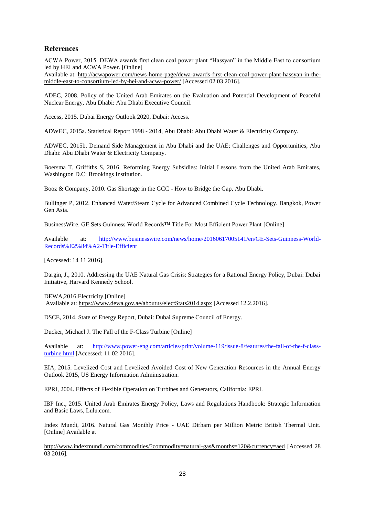# **References**

ACWA Power, 2015. DEWA awards first clean coal power plant "Hassyan" in the Middle East to consortium led by HEI and ACWA Power. [Online]

Available at: [http://acwapower.com/news-home-page/dewa-awards-first-clean-coal-power-plant-hassyan-in-the](http://acwapower.com/news-home-page/dewa-awards-first-clean-coal-power-plant-hassyan-in-the-middle-east-to-consortium-led-by-hei-and-acwa-power/)[middle-east-to-consortium-led-by-hei-and-acwa-power/](http://acwapower.com/news-home-page/dewa-awards-first-clean-coal-power-plant-hassyan-in-the-middle-east-to-consortium-led-by-hei-and-acwa-power/) [Accessed 02 03 2016].

ADEC, 2008. Policy of the United Arab Emirates on the Evaluation and Potential Development of Peaceful Nuclear Energy, Abu Dhabi: Abu Dhabi Executive Council.

Access, 2015. Dubai Energy Outlook 2020, Dubai: Access.

ADWEC, 2015a. Statistical Report 1998 - 2014, Abu Dhabi: Abu Dhabi Water & Electricity Company.

ADWEC, 2015b. Demand Side Management in Abu Dhabi and the UAE; Challenges and Opportunities, Abu Dhabi: Abu Dhabi Water & Electricity Company.

Boersma T, Griffiths S, 2016. Reforming Energy Subsidies: Initial Lessons from the United Arab Emirates, Washington D.C: Brookings Institution.

Booz & Company, 2010. Gas Shortage in the GCC - How to Bridge the Gap, Abu Dhabi.

Bullinger P, 2012. Enhanced Water/Steam Cycle for Advanced Combined Cycle Technology. Bangkok, Power Gen Asia.

BusinessWire. GE Sets Guinness World Records™ Title For Most Efficient Power Plant [Online]

Available at: [http://www.businesswire.com/news/home/20160617005141/en/GE-Sets-Guinness-World-](http://www.businesswire.com/news/home/20160617005141/en/GE-Sets-Guinness-World-Records%E2%84%A2-Title-Efficient)[Records%E2%84%A2-Title-Efficient](http://www.businesswire.com/news/home/20160617005141/en/GE-Sets-Guinness-World-Records%E2%84%A2-Title-Efficient)

[Accessed: 14 11 2016].

Dargin, J., 2010. Addressing the UAE Natural Gas Crisis: Strategies for a Rational Energy Policy, Dubai: Dubai Initiative, Harvard Kennedy School.

DEWA,2016.Electricity,[Online]

Available at:<https://www.dewa.gov.ae/aboutus/electStats2014.aspx> [Accessed 12.2.2016].

DSCE, 2014. State of Energy Report, Dubai: Dubai Supreme Council of Energy.

Ducker, Michael J. The Fall of the F-Class Turbine [Online]

Available at: [http://www.power-eng.com/articles/print/volume-119/issue-8/features/the-fall-of-the-f-class](http://www.power-eng.com/articles/print/volume-119/issue-8/features/the-fall-of-the-f-class-turbine.html)[turbine.html](http://www.power-eng.com/articles/print/volume-119/issue-8/features/the-fall-of-the-f-class-turbine.html) [Accessed: 11 02 2016].

EIA, 2015. Levelized Cost and Levelized Avoided Cost of New Generation Resources in the Annual Energy Outlook 2015, US Energy Information Administration.

EPRI, 2004. Effects of Flexible Operation on Turbines and Generators, California: EPRI.

IBP Inc., 2015. United Arab Emirates Energy Policy, Laws and Regulations Handbook: Strategic Information and Basic Laws, Lulu.com.

Index Mundi, 2016. Natural Gas Monthly Price - UAE Dirham per Million Metric British Thermal Unit. [Online] Available at

[http://www.indexmundi.com/commodities/?commodity=natural-gas&months=120&currency=aed](http://www.indexmundi.com/commodities/?commodity=natural-gas&months=120¤cy=aed) [Accessed 28 03 2016].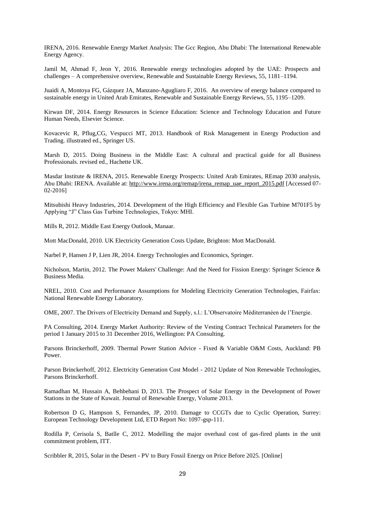IRENA, 2016. Renewable Energy Market Analysis: The Gcc Region, Abu Dhabi: The International Renewable Energy Agency.

Jamil M, Ahmad F, Jeon Y, 2016. Renewable energy technologies adopted by the UAE: Prospects and challenges – A comprehensive overview, Renewable and Sustainable Energy Reviews, 55, 1181–1194.

Juaidi A, Montoya FG, Gázquez JA, Manzano-Agugliaro F, 2016. An overview of energy balance compared to sustainable energy in United Arab Emirates, Renewable and Sustainable Energy Reviews, 55, 1195–1209.

Kirwan DF, 2014. Energy Resources in Science Education: Science and Technology Education and Future Human Needs, Elsevier Science.

Kovacevic R, Pflug,CG, Vespucci MT, 2013. Handbook of Risk Management in Energy Production and Trading. illustrated ed., Springer US.

Marsh D, 2015. Doing Business in the Middle East: A cultural and practical guide for all Business Professionals. revised ed., Hachette UK.

Masdar Institute & IRENA, 2015. Renewable Energy Prospects: United Arab Emirates, REmap 2030 analysis, Abu Dhabi: IRENA. Available at: [http://www.irena.org/remap/irena\\_remap\\_uae\\_report\\_2015.pdf](http://www.irena.org/remap/irena_remap_uae_report_2015.pdf) [Accessed 07- 02-2016]

Mitsubishi Heavy Industries, 2014. Development of the High Efficiency and Flexible Gas Turbine M701F5 by Applying "J" Class Gas Turbine Technologies, Tokyo: MHI.

Mills R, 2012. Middle East Energy Outlook, Manaar.

Mott MacDonald, 2010. UK Electricity Generation Costs Update, Brighton: Mott MacDonald.

Narbel P, Hansen J P, Lien JR, 2014. Energy Technologies and Economics, Springer.

Nicholson, Martin, 2012. The Power Makers' Challenge: And the Need for Fission Energy: Springer Science & Business Media.

NREL, 2010. Cost and Performance Assumptions for Modeling Electricity Generation Technologies, Fairfax: National Renewable Energy Laboratory.

OME, 2007. The Drivers of Electricity Demand and Supply, s.l.: L"Observatoire Méditerranéen de l"Energie.

PA Consulting, 2014. Energy Market Authority: Review of the Vesting Contract Technical Parameters for the period 1 January 2015 to 31 December 2016, Wellington: PA Consulting.

Parsons Brinckerhoff, 2009. Thermal Power Station Advice - Fixed & Variable O&M Costs, Auckland: PB Power.

Parson Brinckerhoff, 2012. Electricity Generation Cost Model - 2012 Update of Non Renewable Technologies, Parsons Brinckerhoff.

Ramadhan M, Hussain A, Behbehani D, 2013. The Prospect of Solar Energy in the Development of Power Stations in the State of Kuwait. Journal of Renewable Energy, Volume 2013.

Robertson D G, Hampson S, Fernandes, JP, 2010. Damage to CCGTs due to Cyclic Operation, Surrey: European Technology Development Ltd, ETD Report No: 1097-gsp-111.

Rodilla P, Cerisola S, Batlle C, 2012. Modelling the major overhaul cost of gas-fired plants in the unit commitment problem, ITT.

Scribbler R, 2015, Solar in the Desert - PV to Bury Fossil Energy on Price Before 2025. [Online]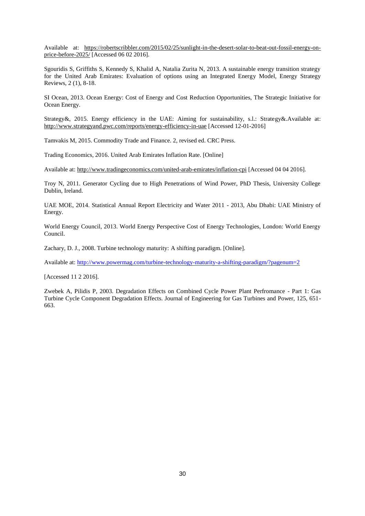Available at: [https://robertscribbler.com/2015/02/25/sunlight-in-the-desert-solar-to-beat-out-fossil-energy-on](https://robertscribbler.com/2015/02/25/sunlight-in-the-desert-solar-to-beat-out-fossil-energy-on-price-before-2025/)[price-before-2025/](https://robertscribbler.com/2015/02/25/sunlight-in-the-desert-solar-to-beat-out-fossil-energy-on-price-before-2025/) [Accessed 06 02 2016].

Sgouridis S, Griffiths S, Kennedy S, Khalid A, Natalia Zurita N, 2013. A sustainable energy transition strategy for the United Arab Emirates: Evaluation of options using an Integrated Energy Model, Energy Strategy Reviews, 2 (1), 8-18.

SI Ocean, 2013. Ocean Energy: Cost of Energy and Cost Reduction Opportunities, The Strategic Initiative for Ocean Energy.

Strategy&, 2015. Energy efficiency in the UAE: Aiming for sustainability, s.l.: Strategy&.Available at: <http://www.strategyand.pwc.com/reports/energy-efficiency-in-uae> [Accessed 12-01-2016]

Tamvakis M, 2015. Commodity Trade and Finance. 2, revised ed. CRC Press.

Trading Economics, 2016. United Arab Emirates Inflation Rate. [Online]

Available at:<http://www.tradingeconomics.com/united-arab-emirates/inflation-cpi> [Accessed 04 04 2016].

Troy N, 2011. Generator Cycling due to High Penetrations of Wind Power, PhD Thesis, University College Dublin, Ireland.

UAE MOE, 2014. Statistical Annual Report Electricity and Water 2011 - 2013, Abu Dhabi: UAE Ministry of Energy.

World Energy Council, 2013. World Energy Perspective Cost of Energy Technologies, London: World Energy Council.

Zachary, D. J., 2008. Turbine technology maturity: A shifting paradigm. [Online].

Available at:<http://www.powermag.com/turbine-technology-maturity-a-shifting-paradigm/?pagenum=2>

[Accessed 11 2 2016].

Zwebek A, Pilidis P, 2003. Degradation Effects on Combined Cycle Power Plant Perfromance - Part 1: Gas Turbine Cycle Component Degradation Effects. Journal of Engineering for Gas Turbines and Power, 125, 651- 663.